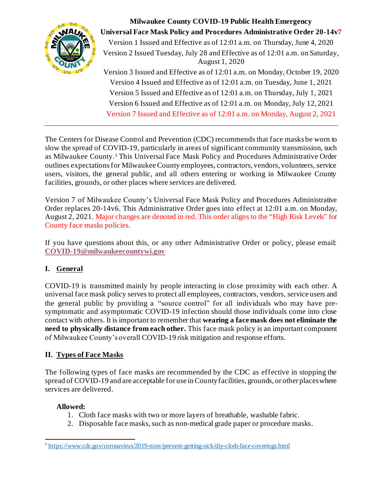

**Milwaukee County COVID-19 Public Health Emergency Universal Face Mask Policy and Procedures Administrative Order 20-14v7** Version 1 Issued and Effective as of 12:01 a.m. on Thursday, June 4, 2020 Version 2 Issued Tuesday, July 28 and Effective as of 12:01 a.m. on Saturday, August 1, 2020 Version 3 Issued and Effective as of 12:01 a.m. on Monday, October 19, 2020 Version 4 Issued and Effective as of 12:01 a.m. on Tuesday, June 1, 2021 Version 5 Issued and Effective as of 12:01 a.m. on Thursday, July 1, 2021 Version 6 Issued and Effective as of 12:01 a.m. on Monday, July 12, 2021 Version 7 Issued and Effective as of 12:01 a.m. on Monday, August 2, 2021

The Centers for Disease Control and Prevention (CDC) recommends that face masks be worn to slow the spread of COVID-19, particularly in areas of significant community transmission, such as Milwaukee County.<sup>1</sup> This Universal Face Mask Policy and Procedures Administrative Order outlines expectations for Milwaukee County employees, contractors, vendors, volunteers, service users, visitors, the general public, and all others entering or working in Milwaukee County facilities, grounds, or other places where services are delivered.

Version 7 of Milwaukee County's Universal Face Mask Policy and Procedures Administrative Order replaces 20-14v6. This Administrative Order goes into effect at 12:01 a.m. on Monday, August 2, 2021. Major changes are denoted in red. This order aligns to the "High Risk Levels" for County face masks policies.

If you have questions about this, or any other Administrative Order or policy, please email: **[COVID-19@milwaukeecountywi.gov](mailto:COVID-19@milwaukeecountywi.gov)**

# **I. General**

COVID-19 is transmitted mainly by people interacting in close proximity with each other. A universal face mask policy serves to protect all employees, contractors, vendors, service users and the general public by providing a "source control" for all individuals who may have presymptomatic and asymptomatic COVID-19 infection should those individuals come into close contact with others. It is important to remember that **wearing a face mask does not eliminate the need to physically distance from each other.** This face mask policy is an important component of Milwaukee County's overall COVID-19 risk mitigation and response efforts.

# **II. Types of Face Masks**

The following types of face masks are recommended by the CDC as effective in stopping the spread of COVID-19 and are acceptable for use in County facilities, grounds, or other places where services are delivered.

# **Allowed:**

- 1. Cloth face masks with two or more layers of breathable, washable fabric.
- 2. Disposable face masks, such as non-medical grade paper or procedure masks.

<sup>&</sup>lt;sup>1</sup><https://www.cdc.gov/coronavirus/2019-ncov/prevent-getting-sick/diy-cloth-face-coverings.html>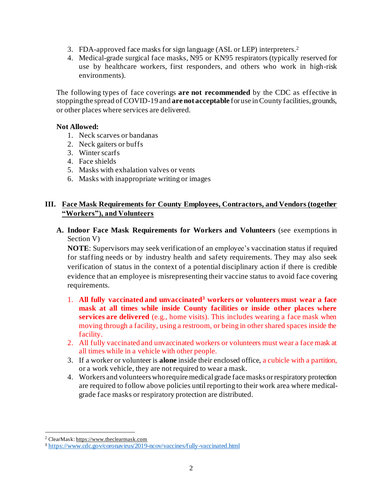- 3. FDA-approved face masks for sign language (ASL or LEP) interpreters. 2
- 4. Medical-grade surgical face masks, N95 or KN95 respirators (typically reserved for use by healthcare workers, first responders, and others who work in high-risk environments).

The following types of face coverings **are not recommended** by the CDC as effective in stopping the spread of COVID-19 and **are not acceptable** for use in County facilities, grounds, or other places where services are delivered.

#### **Not Allowed:**

- 1. Neck scarves or bandanas
- 2. Neck gaiters or buffs
- 3. Winter scarfs
- 4. Face shields
- 5. Masks with exhalation valves or vents
- 6. Masks with inappropriate writing or images

### **III. Face Mask Requirements for County Employees, Contractors, and Vendors (together "Workers"), and Volunteers**

**A. Indoor Face Mask Requirements for Workers and Volunteers** (see exemptions in Section V)

**NOTE**: Supervisors may seek verification of an employee's vaccination status if required for staffing needs or by industry health and safety requirements. They may also seek verification of status in the context of a potential disciplinary action if there is credible evidence that an employee is misrepresenting their vaccine status to avoid face covering requirements.

- 1. **All fully vaccinated and unvaccinated<sup>3</sup> workers or volunteers must wear a face mask at all times while inside County facilities or inside other places where services are delivered** (e.g., home visits). This includes wearing a face mask when moving through a facility, using a restroom, or being in other shared spaces inside the facility.
- 2. All fully vaccinated and unvaccinated workers or volunteers must wear a face mask at all times while in a vehicle with other people.
- 3. If a worker or volunteer is **alone** inside their enclosed office, a cubicle with a partition, or a work vehicle, they are not required to wear a mask.
- 4. Workers and volunteers who require medical grade face masks or respiratory protection are required to follow above policies until reporting to their work area where medicalgrade face masks or respiratory protection are distributed.

<sup>2</sup> ClearMask: [https://www.theclearmask.com](https://gcc01.safelinks.protection.outlook.com/?url=https%3A%2F%2Fwww.theclearmask.com%2F&data=02%7C01%7Croberta.drews%40milwaukeecountywi.gov%7Cef681a4d43764e5ce4b808d869622841%7Cab0c01f619e54e299dab4d03f82b6495%7C0%7C1%7C637375217599660124&sdata=miVTZrzDFqva3fiwTnhV%2B%2F%2FqQLxXY69ABYhEI%2Fl9e%2Bw%3D&reserved=0)

<sup>3</sup> <https://www.cdc.gov/coronavirus/2019-ncov/vaccines/fully-vaccinated.html>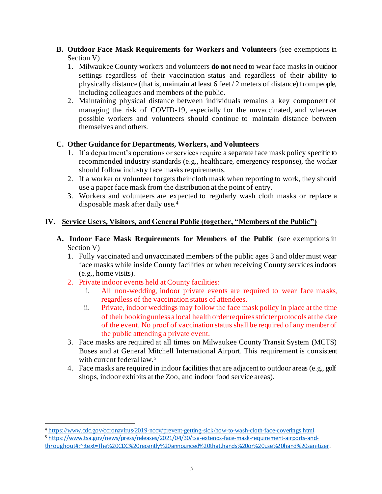- **B. Outdoor Face Mask Requirements for Workers and Volunteers** (see exemptions in Section V)
	- 1. Milwaukee County workers and volunteers **do not** need to wear face masks in outdoor settings regardless of their vaccination status and regardless of their ability to physically distance (that is, maintain at least 6 feet / 2 meters of distance) from people, including colleagues and members of the public.
	- 2. Maintaining physical distance between individuals remains a key component of managing the risk of COVID-19, especially for the unvaccinated, and wherever possible workers and volunteers should continue to maintain distance between themselves and others.

### **C. Other Guidance for Departments, Workers, and Volunteers**

- 1. If a department's operations or services require a separate face mask policy specific to recommended industry standards (e.g., healthcare, emergency response), the worker should follow industry face masks requirements.
- 2. If a worker or volunteer forgets their cloth mask when reporting to work, they should use a paper face mask from the distribution at the point of entry.
- 3. Workers and volunteers are expected to regularly wash cloth masks or replace a disposable mask after daily use.<sup>4</sup>

# **IV. Service Users, Visitors, and General Public (together, "Members of the Public")**

- **A. Indoor Face Mask Requirements for Members of the Public** (see exemptions in Section V)
	- 1. Fully vaccinated and unvaccinated members of the public ages 3 and older must wear face masks while inside County facilities or when receiving County services indoors (e.g., home visits).
	- 2. Private indoor events held at County facilities:
		- i. All non-wedding, indoor private events are required to wear face masks, regardless of the vaccination status of attendees.
		- ii. Private, indoor weddings may follow the face mask policy in place at the time of their bookingunless a local health order requires stricter protocols at the date of the event. No proof of vaccination status shall be required of any member of the public attending a private event.
	- 3. Face masks are required at all times on Milwaukee County Transit System (MCTS) Buses and at General Mitchell International Airport. This requirement is consistent with current federal law.<sup>5</sup>
	- 4. Face masks are required in indoor facilities that are adjacent to outdoor areas (e.g., golf shops, indoor exhibits at the Zoo, and indoor food service areas).

<sup>5</sup> [https://www.tsa.gov/news/press/releases/2021/04/30/tsa-extends-face-mask-requirement-airports-and](https://www.tsa.gov/news/press/releases/2021/04/30/tsa-extends-face-mask-requirement-airports-and-throughout#:~:text=The%20CDC%20recently%20announced%20that,hands%20or%20use%20hand%20sanitizer)[throughout#:~:text=The%20CDC%20recently%20announced%20that,hands%20or%20use%20hand%20sanitizer](https://www.tsa.gov/news/press/releases/2021/04/30/tsa-extends-face-mask-requirement-airports-and-throughout#:~:text=The%20CDC%20recently%20announced%20that,hands%20or%20use%20hand%20sanitizer).

<sup>4</sup> <https://www.cdc.gov/coronavirus/2019-ncov/prevent-getting-sick/how-to-wash-cloth-face-coverings.html>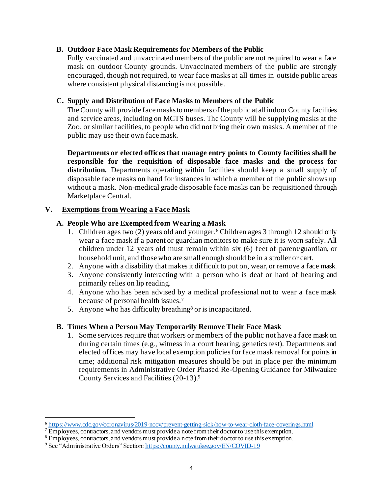#### **B. Outdoor Face Mask Requirements for Members of the Public**

Fully vaccinated and unvaccinated members of the public are not required to wear a face mask on outdoor County grounds. Unvaccinated members of the public are strongly encouraged, though not required, to wear face masks at all times in outside public areas where consistent physical distancing is not possible.

#### **C. Supply and Distribution of Face Masks to Members of the Public**

The County will provide face masks to members of the public at all indoor County facilities and service areas, including on MCTS buses. The County will be supplying masks at the Zoo, or similar facilities, to people who did not bring their own masks. A member of the public may use their own face mask.

**Departments or elected offices that manage entry points to County facilities shall be responsible for the requisition of disposable face masks and the process for distribution.** Departments operating within facilities should keep a small supply of disposable face masks on hand for instances in which a member of the public shows up without a mask. Non-medical grade disposable face masks can be requisitioned through Marketplace Central.

#### **V. Exemptions from Wearing a Face Mask**

#### **A. People Who are Exempted from Wearing a Mask**

- 1. Children ages two (2) years old and younger.<sup>6</sup> Children ages 3 through 12 should only wear a face mask if a parent or guardian monitors to make sure it is worn safely. All children under 12 years old must remain within six (6) feet of parent/guardian, or household unit, and those who are small enough should be in a stroller or cart.
- 2. Anyone with a disability that makes it difficult to put on, wear, or remove a face mask.
- 3. Anyone consistently interacting with a person who is deaf or hard of hearing and primarily relies on lip reading.
- 4. Anyone who has been advised by a medical professional not to wear a face mask because of personal health issues.<sup>7</sup>
- 5. Anyone who has difficulty breathing<sup>8</sup> or is incapacitated.

### **B. Times When a Person May Temporarily Remove Their Face Mask**

1. Some services require that workers or members of the public not have a face mask on during certain times (e.g., witness in a court hearing, genetics test). Departments and elected offices may have local exemption policies for face mask removal for points in time; additional risk mitigation measures should be put in place per the minimum requirements in Administrative Order Phased Re-Opening Guidance for Milwaukee County Services and Facilities (20-13).<sup>9</sup>

<sup>6</sup> <https://www.cdc.gov/coronavirus/2019-ncov/prevent-getting-sick/how-to-wear-cloth-face-coverings.html>

 $\overline{7}$  Employees, contractors, and vendors must provide a note from their doctor to use this exemption.

<sup>&</sup>lt;sup>8</sup> Employees, contractors, and vendors must provide a note from their doctor to use this exemption.

<sup>9</sup> See "Administrative Orders" Section[: https://county.milwaukee.gov/EN/COVID-19](https://county.milwaukee.gov/EN/COVID-19)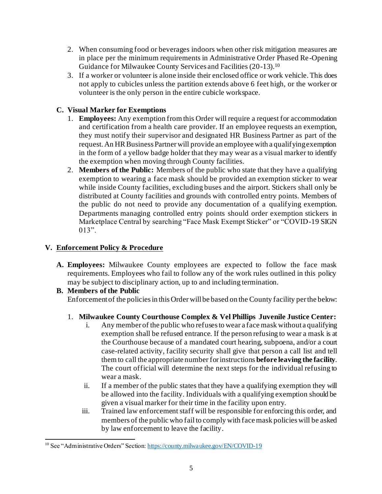- 2. When consuming food or beverages indoors when other risk mitigation measures are in place per the minimum requirements in Administrative Order Phased Re-Opening Guidance for Milwaukee County Services and Facilities (20-13).<sup>10</sup>
- 3. If a worker or volunteer is alone inside their enclosed office or work vehicle. This does not apply to cubicles unless the partition extends above 6 feet high, or the worker or volunteer is the only person in the entire cubicle workspace.

# **C. Visual Marker for Exemptions**

- 1. **Employees:** Any exemption from this Order will require a request for accommodation and certification from a health care provider. If an employee requests an exemption, they must notify their supervisor and designated HR Business Partner as part of the request. An HR Business Partner will provide an employee with a qualifying exemption in the form of a yellow badge holder that they may wear as a visual marker to identify the exemption when moving through County facilities.
- 2. **Members of the Public:** Members of the public who state that they have a qualifying exemption to wearing a face mask should be provided an exemption sticker to wear while inside County facilities, excluding buses and the airport. Stickers shall only be distributed at County facilities and grounds with controlled entry points. Members of the public do not need to provide any documentation of a qualifying exemption. Departments managing controlled entry points should order exemption stickers in Marketplace Central by searching "Face Mask Exempt Sticker" or "COVID-19 SIGN 013".

### **V. Enforcement Policy & Procedure**

**A. Employees:** Milwaukee County employees are expected to follow the face mask requirements. Employees who fail to follow any of the work rules outlined in this policy may be subject to disciplinary action, up to and including termination.

# **B. Members of the Public**

Enforcement of the policies in this Order will be based on the County facility per the below:

# 1. **Milwaukee County Courthouse Complex & Vel Phillips Juvenile Justice Center:**

- i. Any member of the public who refuses to wear a face mask without a qualifying exemption shall be refused entrance. If the person refusing to wear a mask is at the Courthouse because of a mandated court hearing, subpoena, and/or a court case-related activity, facility security shall give that person a call list and tell them to call the appropriate number for instructions **before leaving the facility**. The court official will determine the next steps for the individual refusing to wear a mask.
- ii. If a member of the public states that they have a qualifying exemption they will be allowed into the facility. Individuals with a qualifying exemption should be given a visual marker for their time in the facility upon entry.
- iii. Trained law enforcement staff will be responsible for enforcing this order, and members of the public who fail to comply with face mask policies will be asked by law enforcement to leave the facility.

<sup>&</sup>lt;sup>10</sup> See "Administrative Orders" Section[: https://county.milwaukee.gov/EN/COVID-19](https://county.milwaukee.gov/EN/COVID-19)